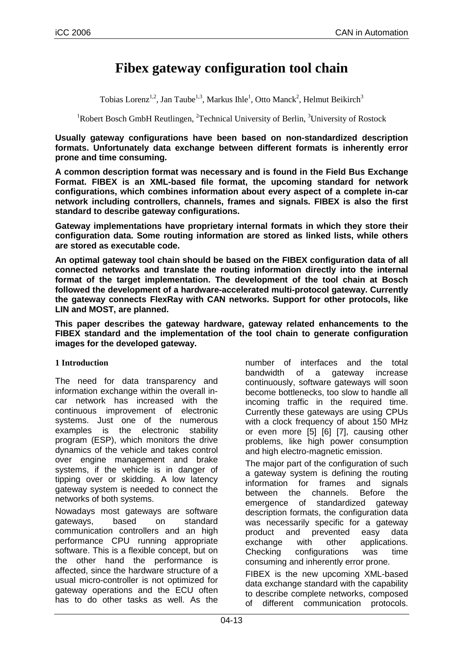# **Fibex gateway configuration tool chain**

Tobias Lorenz<sup>1,2</sup>, Jan Taube<sup>1,3</sup>, Markus Ihle<sup>1</sup>, Otto Manck<sup>2</sup>, Helmut Beikirch<sup>3</sup>

 $1R$ obert Bosch GmbH Reutlingen,  $2T$ echnical University of Berlin,  $3$ University of Rostock

**Usually gateway configurations have been based on non-standardized description formats. Unfortunately data exchange between different formats is inherently error prone and time consuming.** 

**A common description format was necessary and is found in the Field Bus Exchange Format. FIBEX is an XML-based file format, the upcoming standard for network configurations, which combines information about every aspect of a complete in-car network including controllers, channels, frames and signals. FIBEX is also the first standard to describe gateway configurations.** 

**Gateway implementations have proprietary internal formats in which they store their configuration data. Some routing information are stored as linked lists, while others are stored as executable code.** 

**An optimal gateway tool chain should be based on the FIBEX configuration data of all connected networks and translate the routing information directly into the internal format of the target implementation. The development of the tool chain at Bosch followed the development of a hardware-accelerated multi-protocol gateway. Currently the gateway connects FlexRay with CAN networks. Support for other protocols, like LIN and MOST, are planned.** 

**This paper describes the gateway hardware, gateway related enhancements to the FIBEX standard and the implementation of the tool chain to generate configuration images for the developed gateway.** 

#### **1 Introduction**

The need for data transparency and information exchange within the overall incar network has increased with the continuous improvement of electronic systems. Just one of the numerous examples is the electronic stability program (ESP), which monitors the drive dynamics of the vehicle and takes control over engine management and brake systems, if the vehicle is in danger of tipping over or skidding. A low latency gateway system is needed to connect the networks of both systems.

Nowadays most gateways are software gateways, based on standard communication controllers and an high performance CPU running appropriate software. This is a flexible concept, but on the other hand the performance is affected, since the hardware structure of a usual micro-controller is not optimized for gateway operations and the ECU often has to do other tasks as well. As the

number of interfaces and the total bandwidth of a gateway increase continuously, software gateways will soon become bottlenecks, too slow to handle all incoming traffic in the required time. Currently these gateways are using CPUs with a clock frequency of about 150 MHz or even more [5] [6] [7], causing other problems, like high power consumption and high electro-magnetic emission.

The major part of the configuration of such a gateway system is defining the routing information for frames and signals between the channels. Before the emergence of standardized gateway description formats, the configuration data was necessarily specific for a gateway product and prevented easy data exchange with other applications. Checking configurations was time consuming and inherently error prone.

FIBEX is the new upcoming XML-based data exchange standard with the capability to describe complete networks, composed of different communication protocols.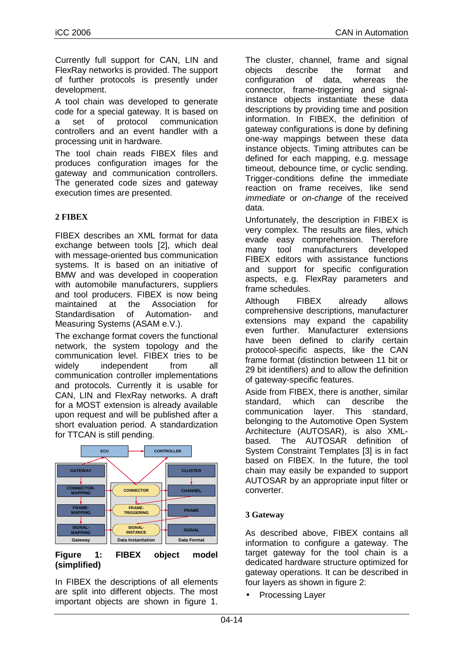Currently full support for CAN, LIN and FlexRay networks is provided. The support of further protocols is presently under development.

A tool chain was developed to generate code for a special gateway. It is based on a set of protocol communication controllers and an event handler with a processing unit in hardware.

The tool chain reads FIBEX files and produces configuration images for the gateway and communication controllers. The generated code sizes and gateway execution times are presented.

## **2 FIBEX**

FIBEX describes an XML format for data exchange between tools [2], which deal with message-oriented bus communication systems. It is based on an initiative of BMW and was developed in cooperation with automobile manufacturers, suppliers and tool producers. FIBEX is now being maintained at the Association for Standardisation of Automation- and Measuring Systems (ASAM e.V.).

The exchange format covers the functional network, the system topology and the communication level. FIBEX tries to be widely independent from all communication controller implementations and protocols. Currently it is usable for CAN, LIN and FlexRay networks. A draft for a MOST extension is already available upon request and will be published after a short evaluation period. A standardization for TTCAN is still pending.



#### **Figure 1: FIBEX object model (simplified)**

In FIBEX the descriptions of all elements are split into different objects. The most important objects are shown in figure 1.

The cluster, channel, frame and signal objects describe the format and configuration of data, whereas the connector, frame-triggering and signalinstance objects instantiate these data descriptions by providing time and position information. In FIBEX, the definition of gateway configurations is done by defining one-way mappings between these data instance objects. Timing attributes can be defined for each mapping, e.g. message timeout, debounce time, or cyclic sending. Trigger-conditions define the immediate reaction on frame receives, like send immediate or on-change of the received data.

Unfortunately, the description in FIBEX is very complex. The results are files, which evade easy comprehension. Therefore many tool manufacturers developed FIBEX editors with assistance functions and support for specific configuration aspects, e.g. FlexRay parameters and frame schedules.

Although FIBEX already allows comprehensive descriptions, manufacturer extensions may expand the capability even further. Manufacturer extensions have been defined to clarify certain protocol-specific aspects, like the CAN frame format (distinction between 11 bit or 29 bit identifiers) and to allow the definition of gateway-specific features.

Aside from FIBEX, there is another, similar standard, which can describe the communication layer. This standard, belonging to the Automotive Open System Architecture (AUTOSAR), is also XMLbased. The AUTOSAR definition of System Constraint Templates [3] is in fact based on FIBEX. In the future, the tool chain may easily be expanded to support AUTOSAR by an appropriate input filter or converter.

## **3 Gateway**

As described above, FIBEX contains all information to configure a gateway. The target gateway for the tool chain is a dedicated hardware structure optimized for gateway operations. It can be described in four layers as shown in figure 2:

• Processing Layer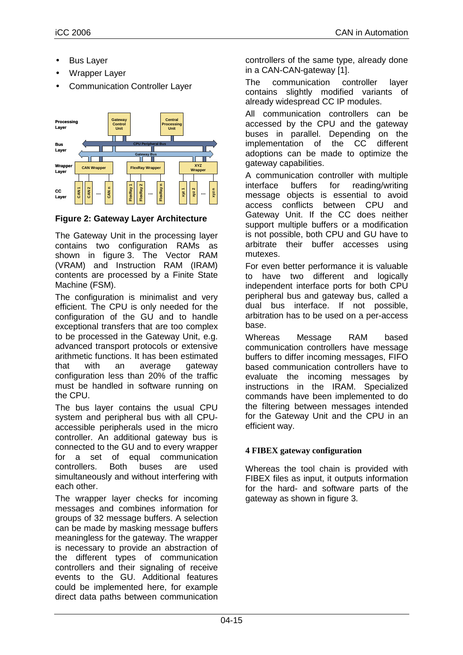- **Bus Layer**
- Wrapper Layer
- Communication Controller Layer



**Figure 2: Gateway Layer Architecture** 

The Gateway Unit in the processing layer contains two configuration RAMs as shown in figure 3. The Vector RAM (VRAM) and Instruction RAM (IRAM) contents are processed by a Finite State Machine (FSM).

The configuration is minimalist and very efficient. The CPU is only needed for the configuration of the GU and to handle exceptional transfers that are too complex to be processed in the Gateway Unit, e.g. advanced transport protocols or extensive arithmetic functions. It has been estimated that with an average gateway configuration less than 20% of the traffic must be handled in software running on the CPU.

The bus layer contains the usual CPU system and peripheral bus with all CPUaccessible peripherals used in the micro controller. An additional gateway bus is connected to the GU and to every wrapper for a set of equal communication controllers. Both buses are used simultaneously and without interfering with each other.

The wrapper layer checks for incoming messages and combines information for groups of 32 message buffers. A selection can be made by masking message buffers meaningless for the gateway. The wrapper is necessary to provide an abstraction of the different types of communication controllers and their signaling of receive events to the GU. Additional features could be implemented here, for example direct data paths between communication

controllers of the same type, already done in a CAN-CAN-gateway [1].

The communication controller layer contains slightly modified variants of already widespread CC IP modules.

All communication controllers can be accessed by the CPU and the gateway buses in parallel. Depending on the implementation of the CC different adoptions can be made to optimize the gateway capabilities.

A communication controller with multiple interface buffers for reading/writing message objects is essential to avoid access conflicts between CPU and Gateway Unit. If the CC does neither support multiple buffers or a modification is not possible, both CPU and GU have to arbitrate their buffer accesses using mutexes.

For even better performance it is valuable to have two different and logically independent interface ports for both CPU peripheral bus and gateway bus, called a dual bus interface. If not possible, arbitration has to be used on a per-access base.

Whereas Message RAM based communication controllers have message buffers to differ incoming messages, FIFO based communication controllers have to evaluate the incoming messages by instructions in the IRAM. Specialized commands have been implemented to do the filtering between messages intended for the Gateway Unit and the CPU in an efficient way.

## **4 FIBEX gateway configuration**

Whereas the tool chain is provided with FIBEX files as input, it outputs information for the hard- and software parts of the gateway as shown in figure 3.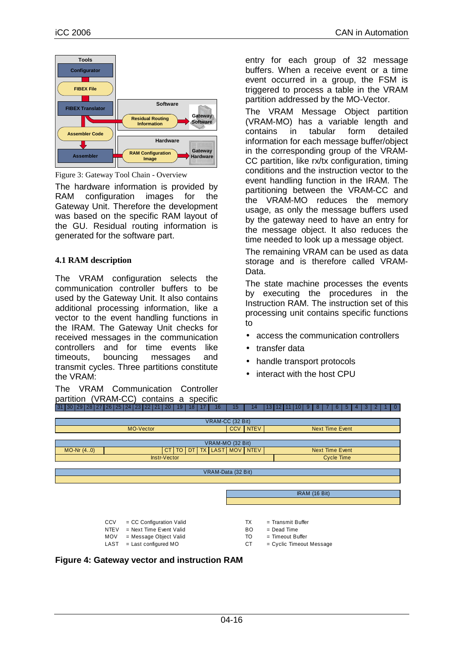

Figure 3: Gateway Tool Chain - Overview

The hardware information is provided by RAM configuration images for the Gateway Unit. Therefore the development was based on the specific RAM layout of the GU. Residual routing information is generated for the software part.

## **4.1 RAM description**

The VRAM configuration selects the communication controller buffers to be used by the Gateway Unit. It also contains additional processing information, like a vector to the event handling functions in the IRAM. The Gateway Unit checks for received messages in the communication controllers and for time events like timeouts, bouncing messages and transmit cycles. Three partitions constitute the VRAM:

The VRAM Communication Controller partition (VRAM-CC) contains a specific entry for each group of 32 message buffers. When a receive event or a time event occurred in a group, the FSM is triggered to process a table in the VRAM partition addressed by the MO-Vector.

The VRAM Message Object partition (VRAM-MO) has a variable length and contains in tabular form detailed information for each message buffer/object in the corresponding group of the VRAM-CC partition, like rx/tx configuration, timing conditions and the instruction vector to the event handling function in the IRAM. The partitioning between the VRAM-CC and the VRAM-MO reduces the memory usage, as only the message buffers used by the gateway need to have an entry for the message object. It also reduces the time needed to look up a message object.

The remaining VRAM can be used as data storage and is therefore called VRAM-Data.

The state machine processes the events by executing the procedures in the Instruction RAM. The instruction set of this processing unit contains specific functions to

- access the communication controllers
- transfer data
- handle transport protocols
- interact with the host CPU



**Figure 4: Gateway vector and instruction RAM**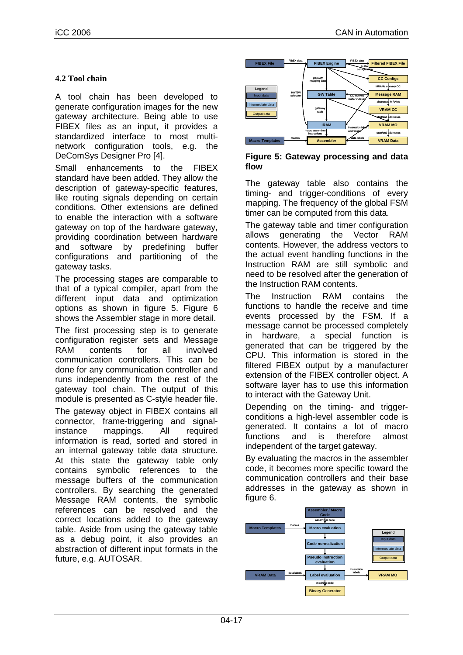## **4.2 Tool chain**

A tool chain has been developed to generate configuration images for the new gateway architecture. Being able to use FIBEX files as an input, it provides a standardized interface to most multinetwork configuration tools, e.g. the DeComSys Designer Pro [4].

Small enhancements to the FIBEX standard have been added. They allow the description of gateway-specific features, like routing signals depending on certain conditions. Other extensions are defined to enable the interaction with a software gateway on top of the hardware gateway, providing coordination between hardware and software by predefining buffer configurations and partitioning of the gateway tasks.

The processing stages are comparable to that of a typical compiler, apart from the different input data and optimization options as shown in figure 5. Figure 6 shows the Assembler stage in more detail.

The first processing step is to generate configuration register sets and Message RAM contents for all involved communication controllers. This can be done for any communication controller and runs independently from the rest of the gateway tool chain. The output of this module is presented as C-style header file.

The gateway object in FIBEX contains all connector, frame-triggering and signalinstance mappings. All required information is read, sorted and stored in an internal gateway table data structure. At this state the gateway table only contains symbolic references to the message buffers of the communication controllers. By searching the generated Message RAM contents, the symbolic references can be resolved and the correct locations added to the gateway table. Aside from using the gateway table as a debug point, it also provides an abstraction of different input formats in the future, e.g. AUTOSAR.



**Figure 5: Gateway processing and data flow** 

The gateway table also contains the timing- and trigger-conditions of every mapping. The frequency of the global FSM timer can be computed from this data.

The gateway table and timer configuration allows generating the Vector RAM contents. However, the address vectors to the actual event handling functions in the Instruction RAM are still symbolic and need to be resolved after the generation of the Instruction RAM contents.

The Instruction RAM contains the functions to handle the receive and time events processed by the FSM. If a message cannot be processed completely in hardware, a special function is generated that can be triggered by the CPU. This information is stored in the filtered FIBEX output by a manufacturer extension of the FIBEX controller object. A software layer has to use this information to interact with the Gateway Unit.

Depending on the timing- and triggerconditions a high-level assembler code is generated. It contains a lot of macro functions and is therefore almost independent of the target gateway.

By evaluating the macros in the assembler code, it becomes more specific toward the communication controllers and their base addresses in the gateway as shown in figure 6.

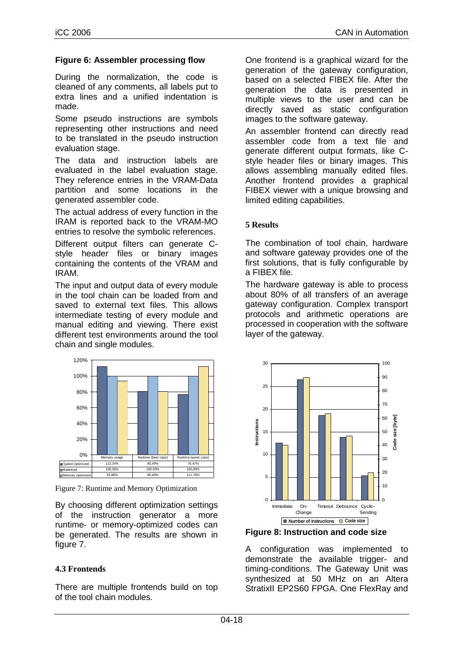## **Figure 6: Assembler processing flow**

During the normalization, the code is cleaned of any comments, all labels put to extra lines and a unified indentation is made.

Some pseudo instructions are symbols representing other instructions and need to be translated in the pseudo instruction evaluation stage.

The data and instruction labels are evaluated in the label evaluation stage. They reference entries in the VRAM-Data partition and some locations in the generated assembler code.

The actual address of every function in the IRAM is reported back to the VRAM-MO entries to resolve the symbolic references.

Different output filters can generate Cstyle header files or binary images containing the contents of the VRAM and IRAM.

The input and output data of every module in the tool chain can be loaded from and saved to external text files. This allows intermediate testing of every module and manual editing and viewing. There exist different test environments around the tool chain and single modules.



Figure 7: Runtime and Memory Optimization

By choosing different optimization settings of the instruction generator a more runtime- or memory-optimized codes can be generated. The results are shown in figure 7.

## **4.3 Frontends**

There are multiple frontends build on top of the tool chain modules.

One frontend is a graphical wizard for the generation of the gateway configuration, based on a selected FIBEX file. After the generation the data is presented in multiple views to the user and can be directly saved as static configuration images to the software gateway.

An assembler frontend can directly read assembler code from a text file and generate different output formats, like Cstyle header files or binary images. This allows assembling manually edited files. Another frontend provides a graphical FIBEX viewer with a unique browsing and limited editing capabilities.

### **5 Results**

The combination of tool chain, hardware and software gateway provides one of the first solutions, that is fully configurable by a FIBEX file.

The hardware gateway is able to process about 80% of all transfers of an average gateway configuration. Complex transport protocols and arithmetic operations are processed in cooperation with the software layer of the gateway.



**Figure 8: Instruction and code size** 

A configuration was implemented to demonstrate the available trigger- and timing-conditions. The Gateway Unit was synthesized at 50 MHz on an Altera StratixII EP2S60 FPGA. One FlexRay and